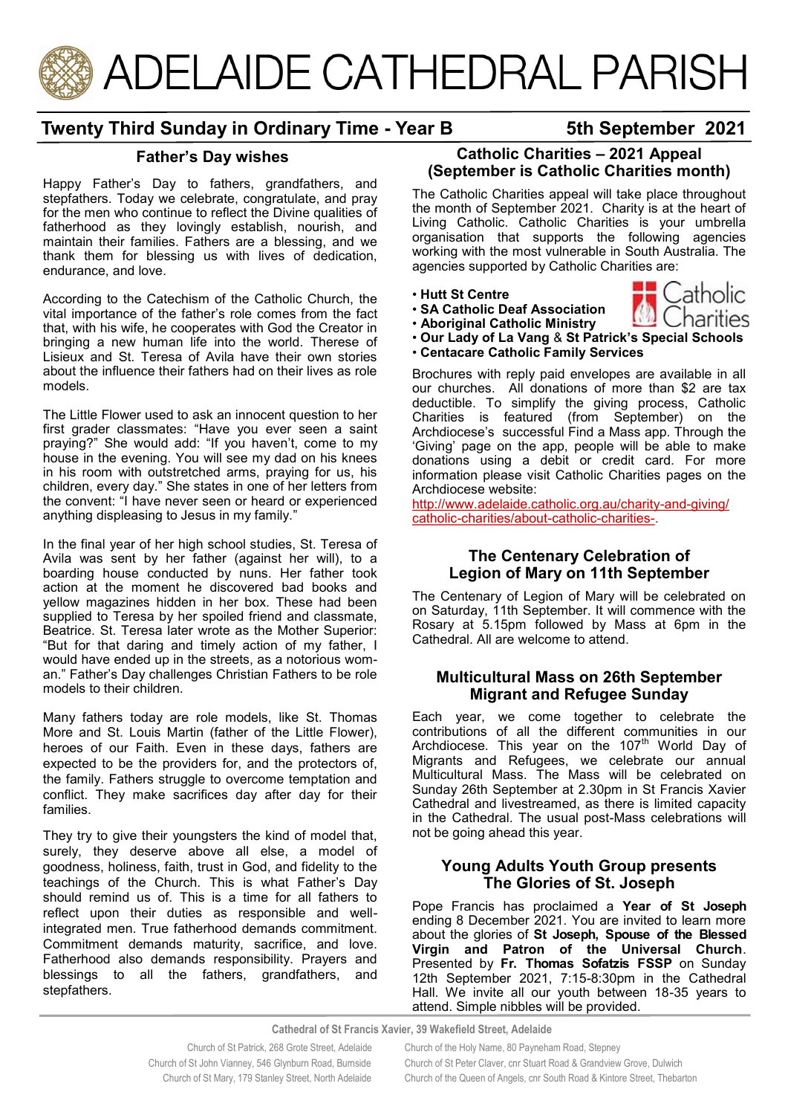

# **Twenty Third Sunday in Ordinary Time - Year B 5th September 2021**

### **Father's Day wishes**

Happy Father's Day to fathers, grandfathers, and stepfathers. Today we celebrate, congratulate, and pray for the men who continue to reflect the Divine qualities of fatherhood as they lovingly establish, nourish, and maintain their families. Fathers are a blessing, and we thank them for blessing us with lives of dedication, endurance, and love.

According to the Catechism of the Catholic Church, the vital importance of the father's role comes from the fact that, with his wife, he cooperates with God the Creator in bringing a new human life into the world. Therese of Lisieux and St. Teresa of Avila have their own stories about the influence their fathers had on their lives as role models.

The Little Flower used to ask an innocent question to her first grader classmates: "Have you ever seen a saint praying?" She would add: "If you haven't, come to my house in the evening. You will see my dad on his knees in his room with outstretched arms, praying for us, his children, every day." She states in one of her letters from the convent: "I have never seen or heard or experienced anything displeasing to Jesus in my family."

In the final year of her high school studies, St. Teresa of Avila was sent by her father (against her will), to a boarding house conducted by nuns. Her father took action at the moment he discovered bad books and yellow magazines hidden in her box. These had been supplied to Teresa by her spoiled friend and classmate, Beatrice. St. Teresa later wrote as the Mother Superior: "But for that daring and timely action of my father, I would have ended up in the streets, as a notorious woman." Father's Day challenges Christian Fathers to be role models to their children.

Many fathers today are role models, like St. Thomas More and St. Louis Martin (father of the Little Flower), heroes of our Faith. Even in these days, fathers are expected to be the providers for, and the protectors of, the family. Fathers struggle to overcome temptation and conflict. They make sacrifices day after day for their families.

They try to give their youngsters the kind of model that, surely, they deserve above all else, a model of goodness, holiness, faith, trust in God, and fidelity to the teachings of the Church. This is what Father's Day should remind us of. This is a time for all fathers to reflect upon their duties as responsible and wellintegrated men. True fatherhood demands commitment. Commitment demands maturity, sacrifice, and love. Fatherhood also demands responsibility. Prayers and blessings to all the fathers, grandfathers, and stepfathers.

## **Catholic Charities – 2021 Appeal (September is Catholic Charities month)**

The Catholic Charities appeal will take place throughout the month of September 2021. Charity is at the heart of Living Catholic. Catholic Charities is your umbrella organisation that supports the following agencies working with the most vulnerable in South Australia. The agencies supported by Catholic Charities are:

Catholic

harities

- **Hutt St Centre**
- **SA Catholic Deaf Association**
- **Aboriginal Catholic Ministry**
- **Our Lady of La Vang** & **St Patrick's Special Schools**
- **Centacare Catholic Family Services**

Brochures with reply paid envelopes are available in all our churches. All donations of more than \$2 are tax deductible. To simplify the giving process, Catholic Charities is featured (from September) on the Archdiocese's successful Find a Mass app. Through the 'Giving' page on the app, people will be able to make donations using a debit or credit card. For more information please visit Catholic Charities pages on the Archdiocese website:

[http://www.adelaide.catholic.org.au/charity](http://www.adelaide.catholic.org.au/charity-and-giving/catholic-charities/about-catholic-charities-)-and-giving/ catholic-[charities/about](http://www.adelaide.catholic.org.au/charity-and-giving/catholic-charities/about-catholic-charities-)-catholic-charities-.

### **The Centenary Celebration of Legion of Mary on 11th September**

The Centenary of Legion of Mary will be celebrated on on Saturday, 11th September. It will commence with the Rosary at 5.15pm followed by Mass at 6pm in the Cathedral. All are welcome to attend.

### **Multicultural Mass on 26th September Migrant and Refugee Sunday**

Each year, we come together to celebrate the contributions of all the different communities in our Archdiocese. This year on the  $107<sup>th</sup>$  World Day of Migrants and Refugees, we celebrate our annual Multicultural Mass. The Mass will be celebrated on Sunday 26th September at 2.30pm in St Francis Xavier Cathedral and livestreamed, as there is limited capacity in the Cathedral. The usual post-Mass celebrations will not be going ahead this year.

### **Young Adults Youth Group presents The Glories of St. Joseph**

Pope Francis has proclaimed a **Year of St Joseph** ending 8 December 2021. You are invited to learn more about the glories of **St Joseph, Spouse of the Blessed Virgin and Patron of the Universal Church**. Presented by **Fr. Thomas Sofatzis FSSP** on Sunday 12th September 2021, 7:15-8:30pm in the Cathedral Hall. We invite all our youth between 18-35 years to attend. Simple nibbles will be provided.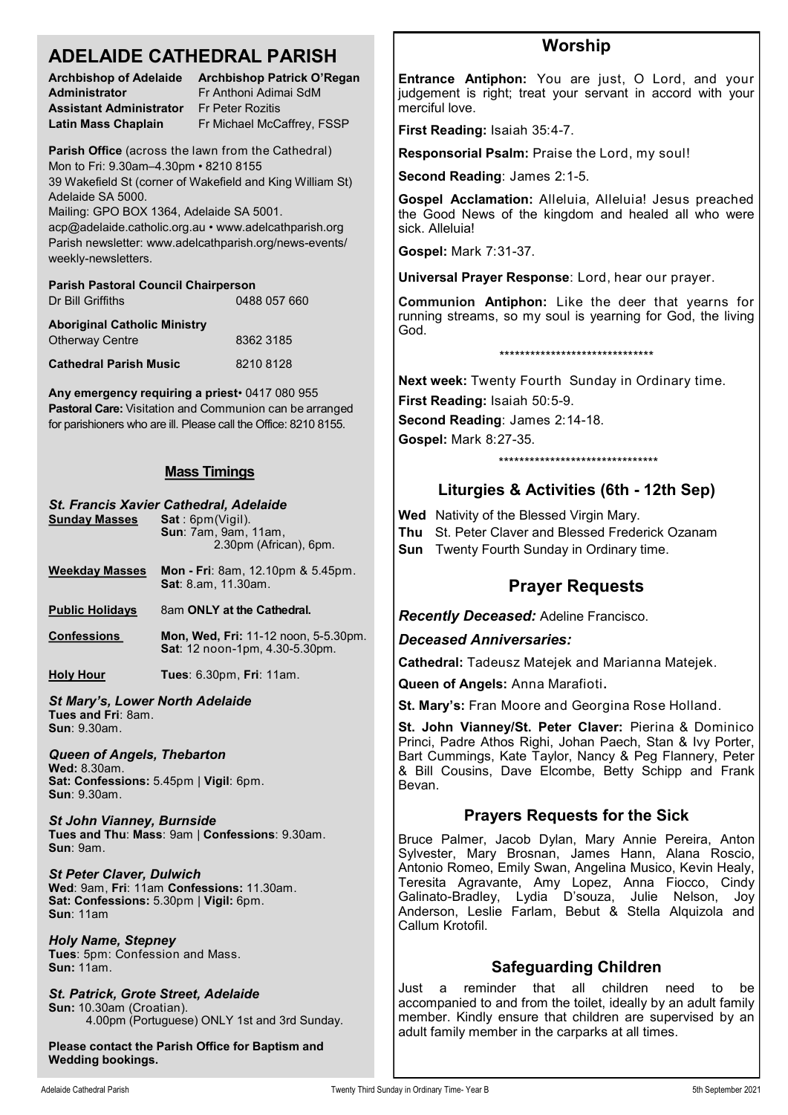| <b>ADELAIDE CATHEDRAL PARISH</b>                                                                                                                                                                                                                                                                                                                                    |                                                                                                       | <b>Worship</b>                                                                                                                                                                                                                                                                                                                                                    |
|---------------------------------------------------------------------------------------------------------------------------------------------------------------------------------------------------------------------------------------------------------------------------------------------------------------------------------------------------------------------|-------------------------------------------------------------------------------------------------------|-------------------------------------------------------------------------------------------------------------------------------------------------------------------------------------------------------------------------------------------------------------------------------------------------------------------------------------------------------------------|
| <b>Administrator</b><br><b>Assistant Administrator</b>                                                                                                                                                                                                                                                                                                              | Archbishop of Adelaide Archbishop Patrick O'Regan<br>Fr Anthoni Adimai SdM<br><b>Fr Peter Rozitis</b> | Entrance Antiphon: You are just, O Lord, and your<br>judgement is right; treat your servant in accord with your<br>merciful love.                                                                                                                                                                                                                                 |
| <b>Latin Mass Chaplain</b>                                                                                                                                                                                                                                                                                                                                          | Fr Michael McCaffrey, FSSP                                                                            | First Reading: Isaiah 35:4-7.                                                                                                                                                                                                                                                                                                                                     |
| Parish Office (across the lawn from the Cathedral)<br>Mon to Fri: 9.30am-4.30pm · 8210 8155<br>39 Wakefield St (corner of Wakefield and King William St)<br>Adelaide SA 5000.<br>Mailing: GPO BOX 1364, Adelaide SA 5001.<br>acp@adelaide.catholic.org.au • www.adelcathparish.org<br>Parish newsletter: www.adelcathparish.org/news-events/<br>weekly-newsletters. |                                                                                                       | Responsorial Psalm: Praise the Lord, my soul!                                                                                                                                                                                                                                                                                                                     |
|                                                                                                                                                                                                                                                                                                                                                                     |                                                                                                       | Second Reading: James 2:1-5.                                                                                                                                                                                                                                                                                                                                      |
|                                                                                                                                                                                                                                                                                                                                                                     |                                                                                                       | Gospel Acclamation: Alleluia, Alleluia! Jesus preached<br>the Good News of the kingdom and healed all who were<br>sick. Alleluia!                                                                                                                                                                                                                                 |
|                                                                                                                                                                                                                                                                                                                                                                     |                                                                                                       | <b>Gospel: Mark 7:31-37.</b>                                                                                                                                                                                                                                                                                                                                      |
| <b>Parish Pastoral Council Chairperson</b>                                                                                                                                                                                                                                                                                                                          |                                                                                                       | Universal Prayer Response: Lord, hear our prayer.                                                                                                                                                                                                                                                                                                                 |
| Dr Bill Griffiths<br><b>Aboriginal Catholic Ministry</b>                                                                                                                                                                                                                                                                                                            | 0488 057 660                                                                                          | Communion Antiphon: Like the deer that yearns for<br>running streams, so my soul is yearning for God, the living<br>God.                                                                                                                                                                                                                                          |
| <b>Otherway Centre</b>                                                                                                                                                                                                                                                                                                                                              | 8362 3185                                                                                             | *******************************                                                                                                                                                                                                                                                                                                                                   |
| <b>Cathedral Parish Music</b>                                                                                                                                                                                                                                                                                                                                       | 8210 8128                                                                                             |                                                                                                                                                                                                                                                                                                                                                                   |
| Any emergency requiring a priest 0417 080 955<br>Pastoral Care: Visitation and Communion can be arranged<br>for parishioners who are ill. Please call the Office: 8210 8155.                                                                                                                                                                                        |                                                                                                       | Next week: Twenty Fourth Sunday in Ordinary time.<br>First Reading: Isaiah 50:5-9.                                                                                                                                                                                                                                                                                |
|                                                                                                                                                                                                                                                                                                                                                                     |                                                                                                       | Second Reading: James 2:14-18.                                                                                                                                                                                                                                                                                                                                    |
|                                                                                                                                                                                                                                                                                                                                                                     |                                                                                                       | <b>Gospel: Mark 8:27-35.</b>                                                                                                                                                                                                                                                                                                                                      |
|                                                                                                                                                                                                                                                                                                                                                                     |                                                                                                       | ********************************                                                                                                                                                                                                                                                                                                                                  |
| <b>Mass Timings</b>                                                                                                                                                                                                                                                                                                                                                 |                                                                                                       | Liturgies & Activities (6th - 12th Sep)                                                                                                                                                                                                                                                                                                                           |
| St. Francis Xavier Cathedral, Adelaide<br><b>Sunday Masses</b><br>Sat: 6pm(Vigil).<br>Sun: 7am, 9am, 11am,<br>2.30pm (African), 6pm.                                                                                                                                                                                                                                |                                                                                                       | Wed Nativity of the Blessed Virgin Mary.<br>St. Peter Claver and Blessed Frederick Ozanam<br>Thu<br><b>Sun</b> Twenty Fourth Sunday in Ordinary time.                                                                                                                                                                                                             |
| <b>Weekday Masses</b>                                                                                                                                                                                                                                                                                                                                               | <b>Mon - Fri</b> : 8am, 12.10pm & 5.45pm.<br>Sat: 8.am, 11.30am.                                      | <b>Prayer Requests</b>                                                                                                                                                                                                                                                                                                                                            |
| <b>Public Holidays</b>                                                                                                                                                                                                                                                                                                                                              | 8am ONLY at the Cathedral.                                                                            | <b>Recently Deceased: Adeline Francisco.</b>                                                                                                                                                                                                                                                                                                                      |
| <b>Confessions</b>                                                                                                                                                                                                                                                                                                                                                  | Mon, Wed, Fri: 11-12 noon, 5-5.30pm.<br>Sat: 12 noon-1pm, 4.30-5.30pm.                                | <b>Deceased Anniversaries:</b>                                                                                                                                                                                                                                                                                                                                    |
| <b>Holy Hour</b>                                                                                                                                                                                                                                                                                                                                                    | Tues: 6.30pm, Fri: 11am.                                                                              | Cathedral: Tadeusz Matejek and Marianna Matejek.                                                                                                                                                                                                                                                                                                                  |
| <b>St Mary's, Lower North Adelaide</b>                                                                                                                                                                                                                                                                                                                              |                                                                                                       | Queen of Angels: Anna Marafioti.<br>St. Mary's: Fran Moore and Georgina Rose Holland.                                                                                                                                                                                                                                                                             |
| Tues and Fri: 8am.<br><b>Sun: 9.30am.</b>                                                                                                                                                                                                                                                                                                                           |                                                                                                       | St. John Vianney/St. Peter Claver: Pierina & Dominico                                                                                                                                                                                                                                                                                                             |
| Queen of Angels, Thebarton<br>Wed: 8.30am.<br>Sat: Confessions: 5.45pm   Vigil: 6pm.<br><b>Sun: 9.30am.</b>                                                                                                                                                                                                                                                         |                                                                                                       | Princi, Padre Athos Righi, Johan Paech, Stan & Ivy Porter,<br>Bart Cummings, Kate Taylor, Nancy & Peg Flannery, Peter<br>& Bill Cousins, Dave Elcombe, Betty Schipp and Frank<br>Bevan.                                                                                                                                                                           |
| <b>St John Vianney, Burnside</b>                                                                                                                                                                                                                                                                                                                                    |                                                                                                       | <b>Prayers Requests for the Sick</b>                                                                                                                                                                                                                                                                                                                              |
| Tues and Thu: Mass: 9am   Confessions: 9.30am.<br>Sun: 9am.                                                                                                                                                                                                                                                                                                         |                                                                                                       | Bruce Palmer, Jacob Dylan, Mary Annie Pereira, Anton<br>Sylvester, Mary Brosnan, James Hann, Alana Roscio,<br>Antonio Romeo, Emily Swan, Angelina Musico, Kevin Healy,<br>Teresita Agravante, Amy Lopez, Anna Fiocco, Cindy<br>Galinato-Bradley, Lydia D'souza, Julie Nelson,<br>Joy<br>Anderson, Leslie Farlam, Bebut & Stella Alquizola and<br>Callum Krotofil. |
| <b>St Peter Claver, Dulwich</b><br>Wed: 9am, Fri: 11am Confessions: 11.30am.<br>Sat: Confessions: 5.30pm   Vigil: 6pm.<br><b>Sun: 11am</b>                                                                                                                                                                                                                          |                                                                                                       |                                                                                                                                                                                                                                                                                                                                                                   |
| <b>Holy Name, Stepney</b><br>Tues: 5pm: Confession and Mass.                                                                                                                                                                                                                                                                                                        |                                                                                                       |                                                                                                                                                                                                                                                                                                                                                                   |
| <b>Sun: 11am.</b>                                                                                                                                                                                                                                                                                                                                                   |                                                                                                       | <b>Safeguarding Children</b><br>Just                                                                                                                                                                                                                                                                                                                              |
| St Datrick Crote Street Adelaide                                                                                                                                                                                                                                                                                                                                    |                                                                                                       | reminder that all<br>children<br>need<br>to<br>be<br>a                                                                                                                                                                                                                                                                                                            |

*St. Patrick, Grote Street, Adelaide* **Sun:** 10.30am (Croatian). 4.00pm (Portuguese) ONLY 1st and 3rd Sunday.

**Please contact the Parish Office for Baptism and Wedding bookings.**

accompanied to and from the toilet, ideally by an adult family member. Kindly ensure that children are supervised by an

adult family member in the carparks at all times.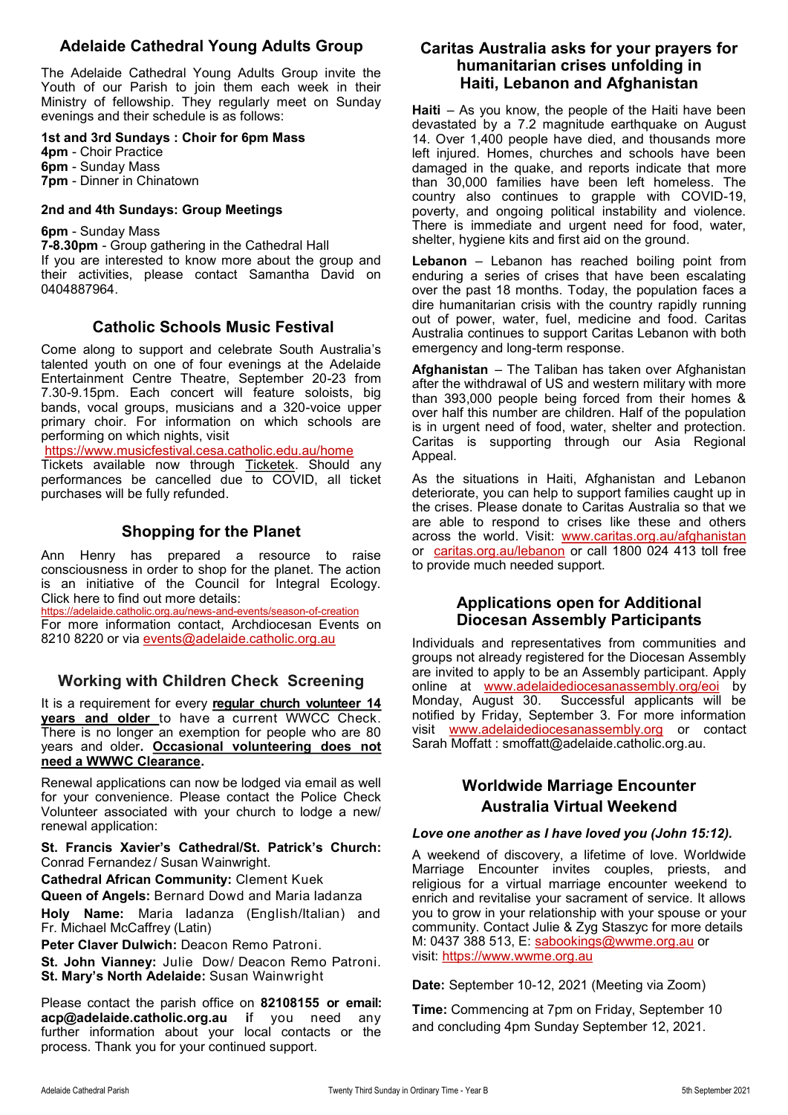# **Adelaide Cathedral Young Adults Group**

The Adelaide Cathedral Young Adults Group invite the Youth of our Parish to join them each week in their Ministry of fellowship. They regularly meet on Sunday evenings and their schedule is as follows:

#### **1st and 3rd Sundays : Choir for 6pm Mass**

**4pm** - Choir Practice **6pm** - Sunday Mass **7pm** - Dinner in Chinatown

#### **2nd and 4th Sundays: Group Meetings**

#### **6pm** - Sunday Mass

**7-8.30pm** - Group gathering in the Cathedral Hall If you are interested to know more about the group and their activities, please contact Samantha David on 0404887964.

### **Catholic Schools Music Festival**

Come along to support and celebrate South Australia's talented youth on one of four evenings at the Adelaide Entertainment Centre Theatre, September 20-23 from 7.30-9.15pm. Each concert will feature soloists, big bands, vocal groups, musicians and a 320-voice upper primary choir. For information on which schools are performing on which nights, visit

<https://www.musicfestival.cesa.catholic.edu.au/home>

Tickets available now through [Ticketek.](https://aus01.safelinks.protection.outlook.com/?url=https%3A%2F%2Fpremier.ticketek.com.au%2Fshows%2Fshow.aspx%3Fsh%3DCSMFEST21&data=04%7C01%7CMonica.Conway%40cesa.catholic.edu.au%7C8bdcd18177ea44005c8c08d967774f0d%7C324d0eab8f464c94aeff237148fb968e%7C0%7C0%7C) Should any performances be cancelled due to COVID, all ticket purchases will be fully refunded.

## **Shopping for the Planet**

Ann Henry has prepared a resource to raise consciousness in order to shop for the planet. The action is an initiative of the Council for Integral Ecology. Click here to find out more details:

[https://adelaide.catholic.org.au/news](https://adelaide.catholic.org.au/news-and-events/season-of-creation)-and-events/season-of-creation For more information contact, Archdiocesan Events on 8210 8220 or via [events@adelaide.catholic.org.au](mailto:events@adelaide.catholic.org.au)

## **Working with Children Check Screening**

It is a requirement for every **regular church volunteer 14 years and older** to have a current WWCC Check. There is no longer an exemption for people who are 80 years and older**. Occasional volunteering does not need a WWWC Clearance.** 

Renewal applications can now be lodged via email as well for your convenience. Please contact the Police Check Volunteer associated with your church to lodge a new/ renewal application:

**St. Francis Xavier's Cathedral/St. Patrick's Church:**  Conrad Fernandez / Susan Wainwright.

**Cathedral African Community:** Clement Kuek

**Queen of Angels:** Bernard Dowd and Maria Iadanza

**Holy Name:** Maria Iadanza (English/Italian) and Fr. Michael McCaffrey (Latin)

**Peter Claver Dulwich:** Deacon Remo Patroni.

**St. John Vianney:** Julie Dow/ Deacon Remo Patroni. **St. Mary's North Adelaide:** Susan Wainwright

Please contact the parish office on **82108155 or email: acp@adelaide.catholic.org.au i**f you need any further information about your local contacts or the process. Thank you for your continued support.

### **Caritas Australia asks for your prayers for humanitarian crises unfolding in Haiti, Lebanon and Afghanistan**

**Haiti** – As you know, the people of the Haiti have been devastated by a 7.2 magnitude earthquake on August 14. Over 1,400 people have died, and thousands more left injured. Homes, churches and schools have been damaged in the quake, and reports indicate that more than 30,000 families have been left homeless. The country also continues to grapple with COVID-19, poverty, and ongoing political instability and violence. There is immediate and urgent need for food, water, shelter, hygiene kits and first aid on the ground.

**Lebanon** – Lebanon has reached boiling point from enduring a series of crises that have been escalating over the past 18 months. Today, the population faces a dire humanitarian crisis with the country rapidly running out of power, water, fuel, medicine and food. Caritas Australia continues to support Caritas Lebanon with both emergency and long-term response.

**Afghanistan** – The Taliban has taken over Afghanistan after the withdrawal of US and western military with more than 393,000 people being forced from their homes & over half this number are children. Half of the population is in urgent need of food, water, shelter and protection. Caritas is supporting through our Asia Regional Appeal.

As the situations in Haiti, Afghanistan and Lebanon deteriorate, you can help to support families caught up in the crises. Please donate to Caritas Australia so that we are able to respond to crises like these and others across the world. Visit: [www.caritas.org.au/afghanistan](http://www.caritas.org.au/afghanistan) or [caritas.org.au/lebanon](https://www.caritas.org.au/caritas.org.au) or call 1800 024 413 toll free to provide much needed support.

### **Applications open for Additional Diocesan Assembly Participants**

Individuals and representatives from communities and groups not already registered for the Diocesan Assembly are invited to apply to be an Assembly participant. Apply online at [www.adelaidediocesanassembly.org/eoi](http://www.adelaidediocesanassembly.org/eoi) by Monday, August 30. Successful applicants will be notified by Friday, September 3. For more information visit [www.adelaidediocesanassembly.org](http://www.adelaidediocesanassembly.org) or contact Sarah Moffatt : [smoffatt@adelaide.catholic.org.au.](mailto:smoffatt@adelaide.catholic.org.au)

# **Worldwide Marriage Encounter Australia Virtual Weekend**

#### *Love one another as I have loved you (John 15:12).*

A weekend of discovery, a lifetime of love. Worldwide Marriage Encounter invites couples, priests, and religious for a virtual marriage encounter weekend to enrich and revitalise your sacrament of service. It allows you to grow in your relationship with your spouse or your community. Contact Julie & Zyg Staszyc for more details M: 0437 388 513, E: [sabookings@wwme.org.au](mailto:sabookings@wwme.org.au?subject=Marriage%20Encounter) or visit: [https://www.wwme.org.au](https://www.wwme.org.au/) 

**Date:** September 10-12, 2021 (Meeting via Zoom)

**Time:** Commencing at 7pm on Friday, September 10 and concluding 4pm Sunday September 12, 2021.